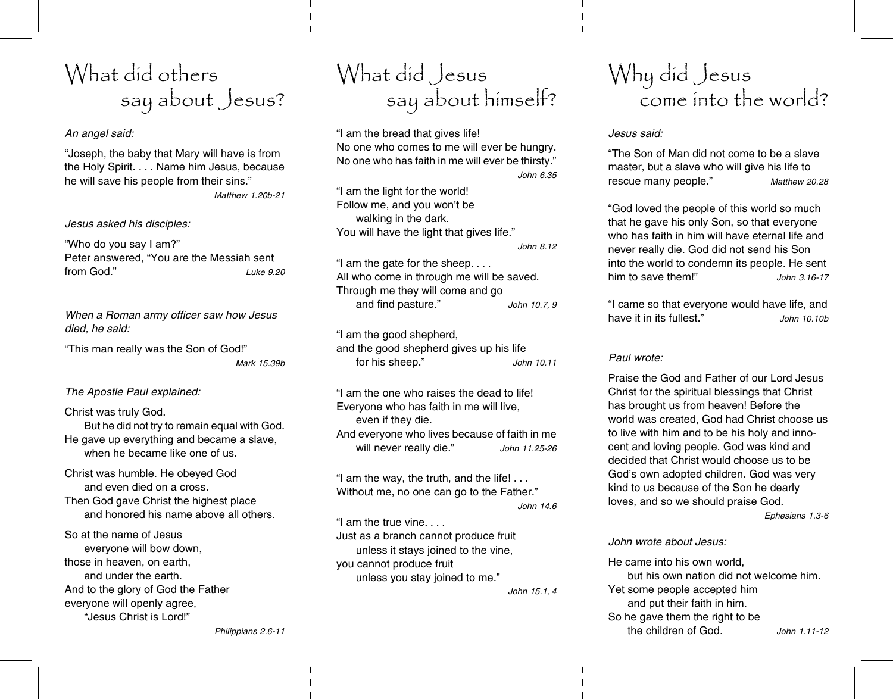# What did others say about Jesus?

## An angel said:

"Joseph, the baby that Mary will have is from the Holy Spirit. . . . Name him Jesus, because he will save his people from their sins."

Matthew 1.20b-21

Jesus asked his disciples:

"Who do you say I am?" Peter answered, "You are the Messiah sent from God"  $I$ uke 9.20

When a Roman army officer saw how Jesus died. he said:

"This man really was the Son of God!" Mark 15.39b

## The Apostle Paul explained:

## Christ was truly God.

But he did not try to remain equal with God. He gave up everything and became a slave, when he became like one of us.

Christ was humble. He obeyed God and even died on a cross. Then God gave Christ the highest place and honored his name above all others.

So at the name of Jesus everyone will bow down, those in heaven, on earth, and under the earth. And to the glory of God the Father everyone will openly agree. ".lesus Christ is Lord!"

# What did Jesus say about himself?

"I am the bread that gives life! No one who comes to me will ever be hungry. No one who has faith in me will ever be thirsty." John 6.35

"I am the light for the world! Follow me, and you won't be walking in the dark. You will have the light that gives life." John 8.12

"I am the gate for the sheep.... All who come in through me will be saved. Through me they will come and go and find pasture." John 10.7, 9

"I am the good shepherd, and the good shepherd gives up his life for his sheep."  $John 1011$ 

"I am the one who raises the dead to life! Everyone who has faith in me will live, even if they die. And everyone who lives because of faith in me will never really die." John 11.25-26

"I am the way, the truth, and the life!... Without me, no one can go to the Father."

John 14.6

"I am the true vine.... Just as a branch cannot produce fruit unless it stays joined to the vine, vou cannot produce fruit unless you stay joined to me."

John 15.1.4

# Why did Jesus<br>come into the world?

## Jesus said:

"The Son of Man did not come to be a slave master, but a slave who will give his life to rescue many people." Matthew 20.28

"God loved the people of this world so much that he gave his only Son, so that everyone who has faith in him will have eternal life and never really die. God did not send his Son into the world to condemn its people. He sent him to save them!" John 3.16-17

"I came so that everyone would have life, and have it in its fullest." John 10.10b

# Paul wrote:

Praise the God and Father of our Lord Jesus Christ for the spiritual blessings that Christ has brought us from heaven! Before the world was created. God had Christ choose us to live with him and to be his holy and innocent and loving people. God was kind and decided that Christ would choose us to be God's own adopted children. God was very kind to us because of the Son he dearly loves, and so we should praise God.

Ephesians 1.3-6

## John wrote about Jesus:

He came into his own world. but his own nation did not welcome him. Yet some people accepted him and put their faith in him. So he gave them the right to be the children of God.